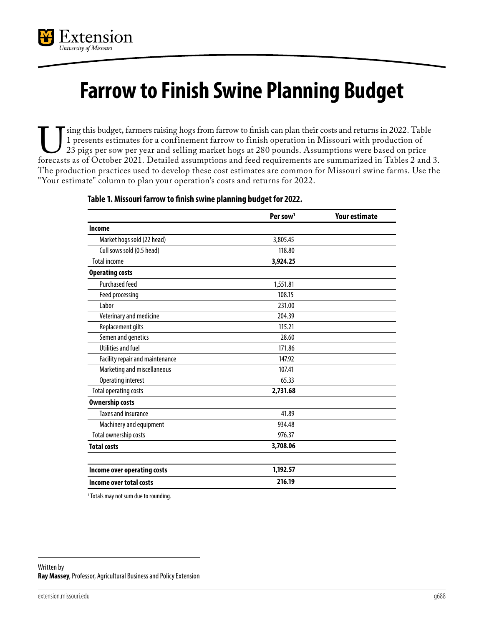

## **Farrow to Finish Swine Planning Budget**

Using this budget, farmers raising hogs from farrow to finish can plan their costs and returns in 2022. Table 1 presents estimates for a confinement farrow to finish operation in Missouri with production of 23 pigs per sow 1 presents estimates for a confinement farrow to finish operation in Missouri with production of 23 pigs per sow per year and selling market hogs at 280 pounds. Assumptions were based on price The production practices used to develop these cost estimates are common for Missouri swine farms. Use the "Your estimate" column to plan your operation's costs and returns for 2022.

|                                 | Per sow <sup>1</sup> | <b>Your estimate</b> |
|---------------------------------|----------------------|----------------------|
| Income                          |                      |                      |
| Market hogs sold (22 head)      | 3,805.45             |                      |
| Cull sows sold (0.5 head)       | 118.80               |                      |
| <b>Total income</b>             | 3,924.25             |                      |
| <b>Operating costs</b>          |                      |                      |
| <b>Purchased feed</b>           | 1,551.81             |                      |
| Feed processing                 | 108.15               |                      |
| Labor                           | 231.00               |                      |
| Veterinary and medicine         | 204.39               |                      |
| Replacement gilts               | 115.21               |                      |
| Semen and genetics              | 28.60                |                      |
| Utilities and fuel              | 171.86               |                      |
| Facility repair and maintenance | 147.92               |                      |
| Marketing and miscellaneous     | 107.41               |                      |
| <b>Operating interest</b>       | 65.33                |                      |
| <b>Total operating costs</b>    | 2,731.68             |                      |
| <b>Ownership costs</b>          |                      |                      |
| <b>Taxes and insurance</b>      | 41.89                |                      |
| Machinery and equipment         | 934.48               |                      |
| Total ownership costs           | 976.37               |                      |
| <b>Total costs</b>              | 3,708.06             |                      |
| Income over operating costs     | 1,192.57             |                      |
| Income over total costs         | 216.19               |                      |

## **Table 1. Missouri farrow to finish swine planning budget for 2022.**

<sup>1</sup> Totals may not sum due to rounding.